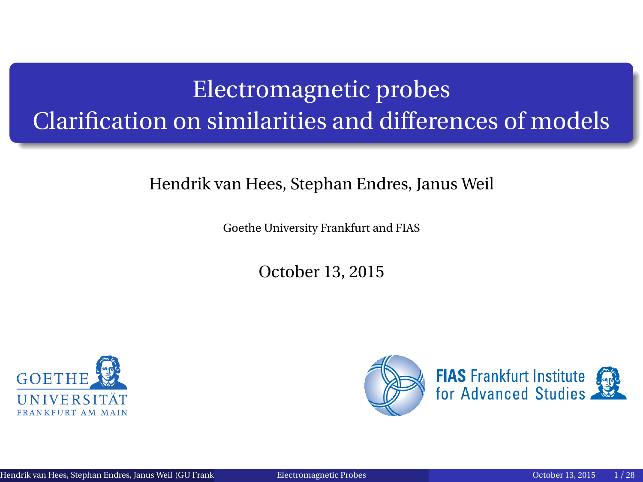# <span id="page-0-0"></span>Electromagnetic probes Clarification on similarities and differences of models

#### Hendrik van Hees, Stephan Endres, Janus Weil

Goethe University Frankfurt and FIAS

October 13, 2015



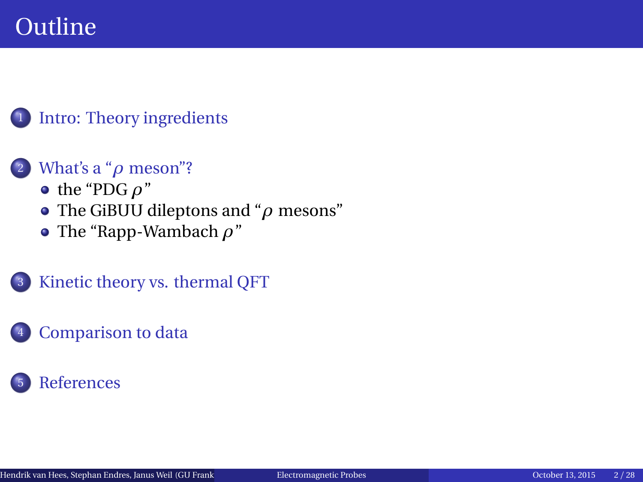## **Outline**

#### <sup>1</sup> [Intro: Theory ingredients](#page-2-0)

#### <sup>2</sup> [What's a "](#page-4-0)*ρ* meson"?

- $\bullet$  [the "PDG](#page-4-0)  $\rho$ "
- [The GiBUU dileptons and "](#page-13-0)*ρ* mesons"
- [The "Rapp-Wambach](#page-16-0) *ρ*"
- <sup>3</sup> [Kinetic theory vs. thermal QFT](#page-17-0)

#### [Comparison to data](#page-20-0)

### **[References](#page-29-0)**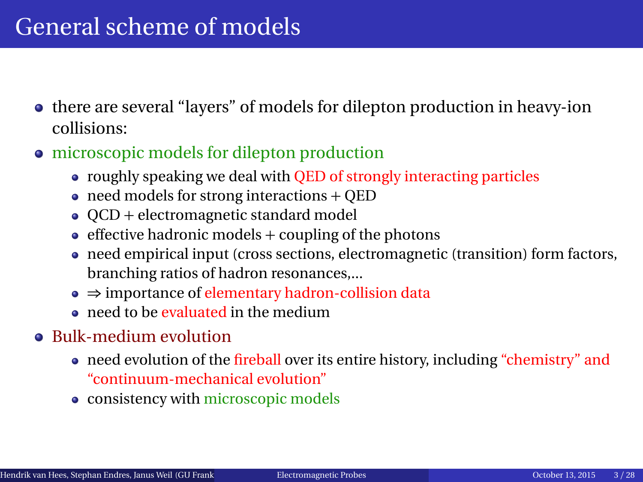## <span id="page-2-0"></span>General scheme of models

- there are several "layers" of models for dilepton production in heavy-ion collisions:
- microscopic models for dilepton production
	- roughly speaking we deal with QED of strongly interacting particles
	- $\bullet$  need models for strong interactions + QED
	- QCD + electromagnetic standard model
	- $\bullet$  effective hadronic models + coupling of the photons
	- need empirical input (cross sections, electromagnetic (transition) form factors, branching ratios of hadron resonances,...
	- ⇒ importance of elementary hadron-collision data
	- o need to be evaluated in the medium
- Bulk-medium evolution
	- need evolution of the fireball over its entire history, including "chemistry" and "continuum-mechanical evolution"
	- consistency with microscopic models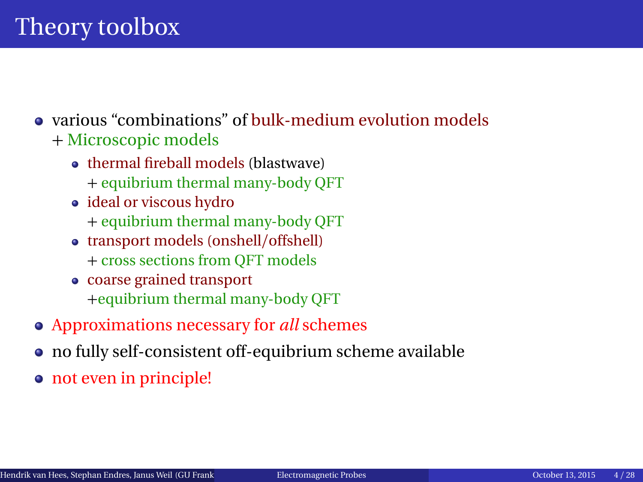#### various "combinations" of bulk-medium evolution models + Microscopic models

- thermal fireball models (blastwave)
	- + equibrium thermal many-body QFT
- ideal or viscous hydro
	- + equibrium thermal many-body QFT
- transport models (onshell/offshell)
	- + cross sections from QFT models
- coarse grained transport +equibrium thermal many-body QFT
- Approximations necessary for *all* schemes
- no fully self-consistent off-equibrium scheme available
- not even in principle!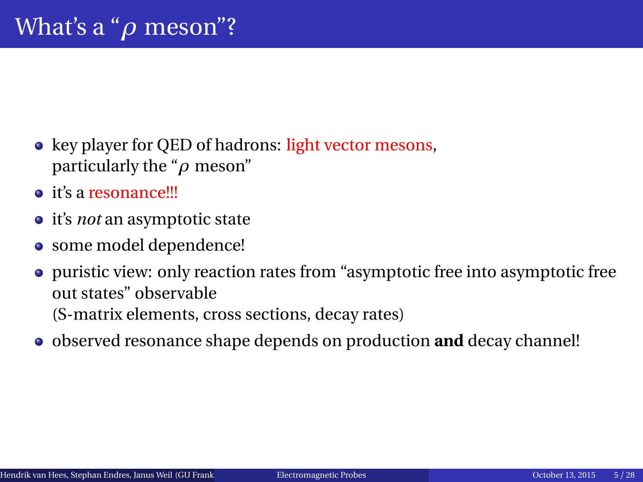- <span id="page-4-0"></span>• key player for QED of hadrons: light vector mesons, particularly the "*ρ* meson"
- **o** it's a resonance!!!
- it's *not* an asymptotic state
- some model dependence!
- puristic view: only reaction rates from "asymptotic free into asymptotic free out states" observable (S-matrix elements, cross sections, decay rates)
- observed resonance shape depends on production **and** decay channel!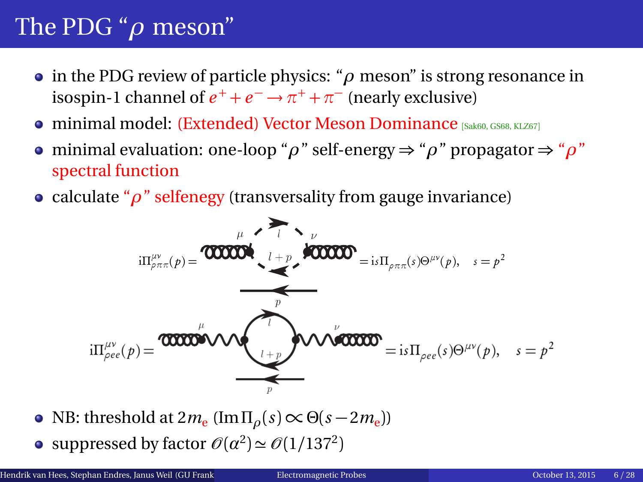## The PDG "*ρ* meson"

- in the PDG review of particle physics: "*ρ* meson" is strong resonance in isospin-1 channel of  $e^+ + e^- \rightarrow \pi^+ + \pi^-$  (nearly exclusive)
- **o** minimal model: (Extended) Vector Meson Dominance [[Sak60,](#page-31-0) [GS68,](#page-30-0) [KLZ67](#page-31-1)]
- minimal evaluation: one-loop "*ρ*" self-energy ⇒ "*ρ*" propagator ⇒ "*ρ*" spectral function
- calculate "*ρ*" selfenegy (transversality from gauge invariance)

$$
i\Pi^{\mu\nu}_{\rho\pi\pi}(p) = \text{0000000} \qquad i + p \qquad \text{000000} \qquad i + p \qquad \text{000000} \qquad \qquad i + p \qquad \text{000000} \qquad \qquad \vdots = i \qquad \Pi_{\rho\pi\pi}(s) \Theta^{\mu\nu}(p), \quad s = p^2
$$
\n
$$
i \Pi^{\mu\nu}_{\rho ee}(p) = \text{000000} \qquad \text{000000} \qquad \qquad \vdots = i \qquad \Pi_{\rho ee}(s) \Theta^{\mu\nu}(p), \quad s = p^2
$$

- NB: threshold at 2 $m_e$  (Im<sub> $Πρ$ </sub>( $s$ ) ∝ Θ( $s 2m_e$ ))
- suppressed by factor  $\mathcal{O}(\alpha^2) \simeq \mathcal{O}(1/137^2)$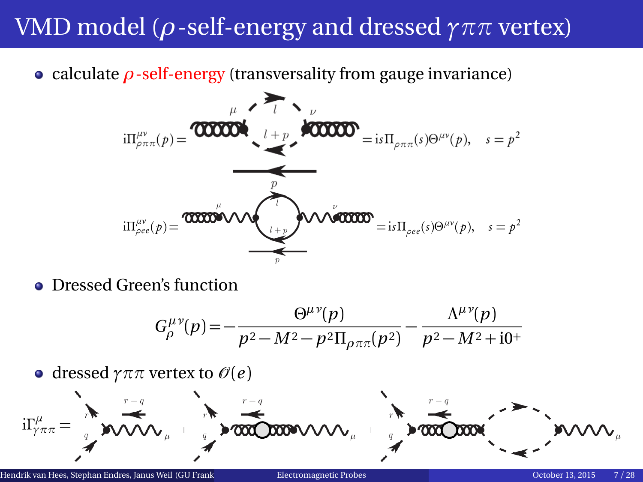## VMD model (*ρ*-self-energy and dressed *γππ* vertex)

calculate *ρ*-self-energy (transversality from gauge invariance)

$$
i\Pi_{\rho\pi\pi}^{\mu\nu}(p) = \text{000000} \qquad \qquad i + p \qquad \text{000000} \qquad \qquad i + p \qquad \text{000000} \qquad \qquad i + p \qquad \text{000000} \qquad \qquad i + p \qquad \text{000000} \qquad \qquad i + p \qquad \text{000000} \qquad \qquad i + p \qquad \text{000000} \qquad \qquad i + p \qquad \text{000000} \qquad \qquad i + p \qquad \text{000000} \qquad \qquad i + p \qquad \text{000000} \qquad \qquad i + p \qquad \text{000000} \qquad \qquad i + p \qquad \text{000000} \qquad \qquad i + p \qquad \text{000000} \qquad \qquad i + p \qquad \text{000000} \qquad \qquad i + p \qquad \text{000000} \qquad \qquad i + p \qquad \text{000000} \qquad \qquad i + p \qquad \text{000000} \qquad \qquad i + p \qquad \text{000000} \qquad \qquad i + p \qquad \text{000000} \qquad \qquad i + p \qquad \text{000000} \qquad \qquad i + p \qquad \text{000000} \qquad \qquad i + p \qquad \text{000000} \qquad \qquad i + p \qquad \text{000000} \qquad \qquad i + p \qquad \text{000000} \qquad \qquad i + p \qquad \text{000000} \qquad \qquad i + p \qquad \text{000000} \qquad \qquad i + p \qquad \text{000000} \qquad \qquad i + p \qquad \text{000000} \qquad \qquad i + p \qquad \text{000000} \qquad \qquad i + p \qquad \text{000000} \qquad \qquad i + p \qquad \text{000000} \qquad \qquad i + p \qquad \text{000000} \qquad \qquad i + p \qquad \text{000000} \qquad \qquad i + p \qquad \text{000000} \qquad
$$

**• Dressed Green's function** 

$$
G_{\rho}^{\mu\nu}(p) = -\frac{\Theta^{\mu\nu}(p)}{p^2 - M^2 - p^2 \Pi_{\rho\pi\pi}(p^2)} - \frac{\Lambda^{\mu\nu}(p)}{p^2 - M^2 + i0^+}
$$

• dressed  $\gamma \pi \pi$  vertex to  $\mathcal{O}(e)$ 

$$
i\Gamma_{\gamma\pi\pi}^{\mu}=\left(\begin{matrix} \mathbf{1} & \mathbf{1} & \mathbf{1} & \mathbf{1} & \mathbf{1} & \mathbf{1} & \mathbf{1} & \mathbf{1} & \mathbf{1} & \mathbf{1} & \mathbf{1} & \mathbf{1} & \mathbf{1} & \mathbf{1} & \mathbf{1} & \mathbf{1} & \mathbf{1} & \mathbf{1} & \mathbf{1} & \mathbf{1} & \mathbf{1} & \mathbf{1} & \mathbf{1} & \mathbf{1} & \mathbf{1} & \mathbf{1} & \mathbf{1} & \mathbf{1} & \mathbf{1} & \mathbf{1} & \mathbf{1} & \mathbf{1} & \mathbf{1} & \mathbf{1} & \mathbf{1} & \mathbf{1} & \mathbf{1} & \mathbf{1} & \mathbf{1} & \mathbf{1} & \mathbf{1} & \mathbf{1} & \mathbf{1} & \mathbf{1} & \mathbf{1} & \mathbf{1} & \mathbf{1} & \mathbf{1} & \mathbf{1} & \mathbf{1} & \mathbf{1} & \mathbf{1} & \mathbf{1} & \mathbf{1} & \mathbf{1} & \mathbf{1} & \mathbf{1} & \mathbf{1} & \mathbf{1} & \mathbf{1} & \mathbf{1} & \mathbf{1} & \mathbf{1} & \mathbf{1} & \mathbf{1} & \mathbf{1} & \mathbf{1} & \mathbf{1} & \mathbf{1} & \mathbf{1} & \mathbf{1} & \mathbf{1} & \mathbf{1} & \mathbf{1} & \mathbf{1} & \mathbf{1} & \mathbf{1} & \mathbf{1} & \mathbf{1} & \mathbf{1} & \mathbf{1} & \mathbf{1} & \mathbf{1} & \mathbf{1} & \mathbf{1} & \mathbf{1} & \mathbf{1} & \mathbf{1} & \mathbf{1} & \mathbf{1} & \mathbf{1} & \mathbf{1} & \mathbf{1} & \mathbf{1} & \mathbf{1} & \mathbf{1} & \mathbf{1} & \mathbf{1} & \mathbf{1} & \mathbf{1} & \mathbf{1} & \mathbf{1} & \mathbf{1} & \mathbf{1} & \mathbf{1} & \math
$$

Hendrik van Hees, Stephan Endres, Janus Weil (GU Frankfurth) [Electromagnetic Probes](#page-0-0) October 13, 2015 7 / 28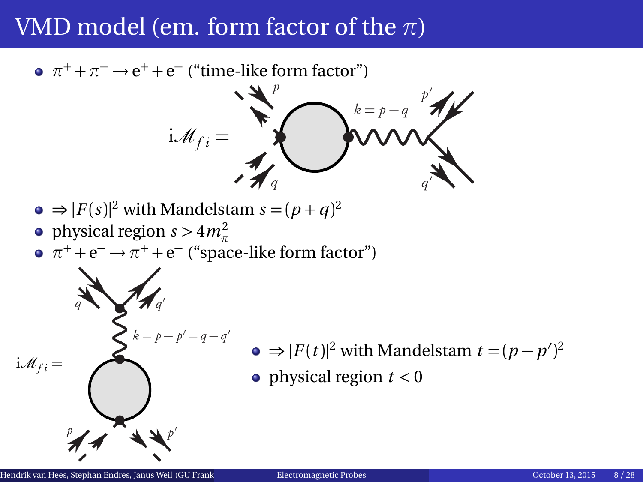### VMD model (em. form factor of the *π*)

 $\pi^+ + \pi^- \rightarrow e^+ + e^-$  ("time-like form factor")

$$
\mathbf{i}\mathcal{M}_{fi} = \mathbf{W}_{q}
$$
\n
$$
\mathbf{v} = p + q \mathbf{v}' \mathbf{v}'
$$
\n
$$
\mathbf{v} = p + q \mathbf{v}' \mathbf{v}'
$$
\n
$$
\mathbf{v} = p + q \mathbf{v}' \mathbf{v}'
$$
\n
$$
\mathbf{v} = p + q \mathbf{v}' \mathbf{v}'
$$
\n
$$
\mathbf{v} = p + q \mathbf{v}' \mathbf{v}'
$$
\n
$$
\mathbf{v} = p + q \mathbf{v}' \mathbf{v}'
$$
\n
$$
\mathbf{v} = p + q \mathbf{v}' \mathbf{v}'
$$
\n
$$
\mathbf{v} = p + q \mathbf{v}' \mathbf{v}'
$$
\n
$$
\mathbf{v} = p + q \mathbf{v}' \mathbf{v}'
$$
\n
$$
\mathbf{v} = p + q \mathbf{v}' \mathbf{v}'
$$
\n
$$
\mathbf{v} = p + q \mathbf{v}' \mathbf{v}'
$$
\n
$$
\mathbf{v} = p + q \mathbf{v}' \mathbf{v}'
$$
\n
$$
\mathbf{v} = p + q \mathbf{v}' \mathbf{v}'
$$
\n
$$
\mathbf{v} = p + q \mathbf{v}' \mathbf{v}'
$$
\n
$$
\mathbf{v} = p + q \mathbf{v}' \mathbf{v}'
$$
\n
$$
\mathbf{v} = p + q \mathbf{v}' \mathbf{v}'
$$
\n
$$
\mathbf{v} = p + q \mathbf{v}' \mathbf{v}'
$$
\n
$$
\mathbf{v} = p + q \mathbf{v}' \mathbf{v}'
$$
\n
$$
\mathbf{v} = p + q \mathbf{v}' \mathbf{v}'
$$
\n
$$
\mathbf{v} = p + q \mathbf{v}' \mathbf{v}'
$$
\n
$$
\mathbf{v} = p + q \mathbf{v}' \mathbf{v}'
$$
\n
$$
\mathbf{v}' = p + q \mathbf{v}' \mathbf{v}'
$$
\n
$$
\mathbf{v}' = p + q \mathbf{v}' \mathbf{v}'
$$
\n
$$
\mathbf{v}' = p + q \mathbf{v}' \math
$$

 $^{\prime})^2$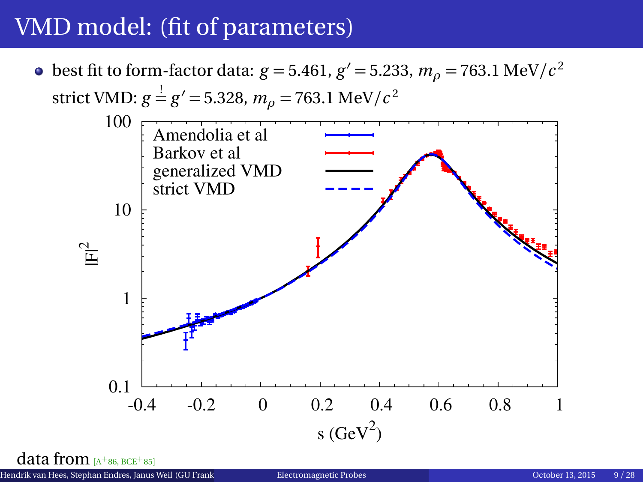## VMD model: (fit of parameters)



 $\rm data$  from [A<sup>+</sup>[86,](#page-29-1) [BCE](#page-29-2)<sup>+</sup>85]

Hendrik van Hees, Stephan Endres, Janus Weil (GU Frankfurt over the [Electromagnetic Probes](#page-0-0) october 13, 2015 9 / 28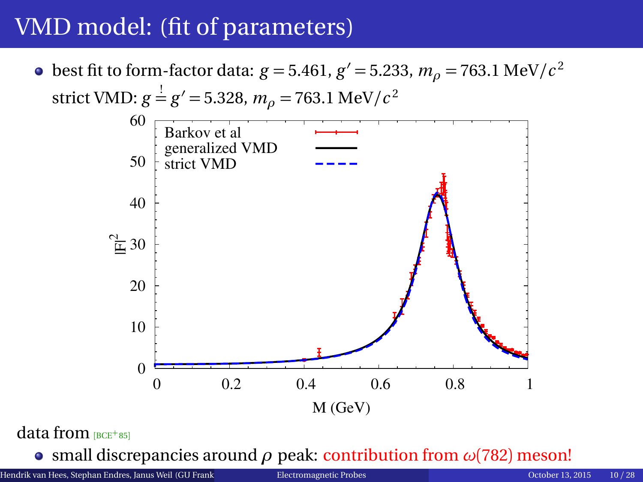## VMD model: (fit of parameters)

best fit to form-factor data:  $g = 5.461$ ,  $g' = 5.233$ ,  $m_\rho = 763.1 \text{ MeV}/c^2$ strict VMD:  $g = g' = 5.328$ ,  $m_\rho = 763.1$  MeV/ $c^2$  $\theta$  10 20  $\mathbb{E}30$  40 50 60 0 0.2 0.4 0.6 0.8 1 M (GeV) Barkov et al generalized VMD strict VMD

#### $data$  from  $BCE+851$  $BCE+851$

small discrepancies around *ρ* peak: contribution from *ω*(782) meson!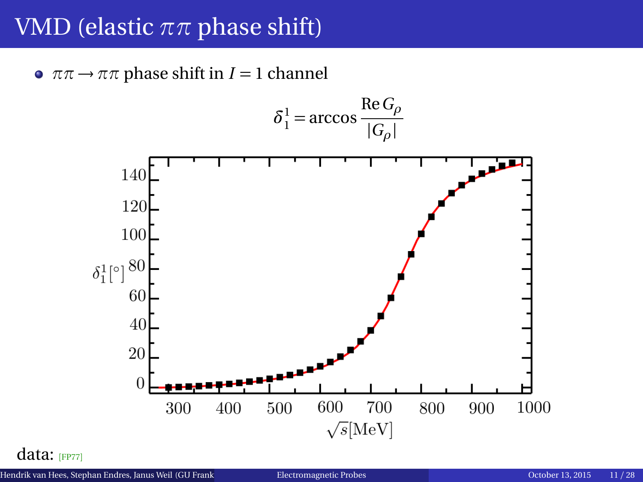### VMD (elastic *ππ* phase shift)

 $\bullet \pi\pi \rightarrow \pi\pi$  phase shift in *I* = 1 channel



data: [[FP77](#page-30-1)]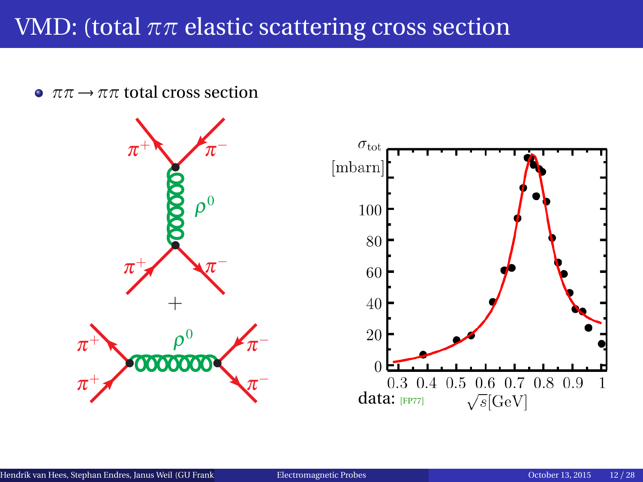## VMD: (total *ππ* elastic scattering cross section

 $\bullet \pi\pi \rightarrow \pi\pi$  total cross section

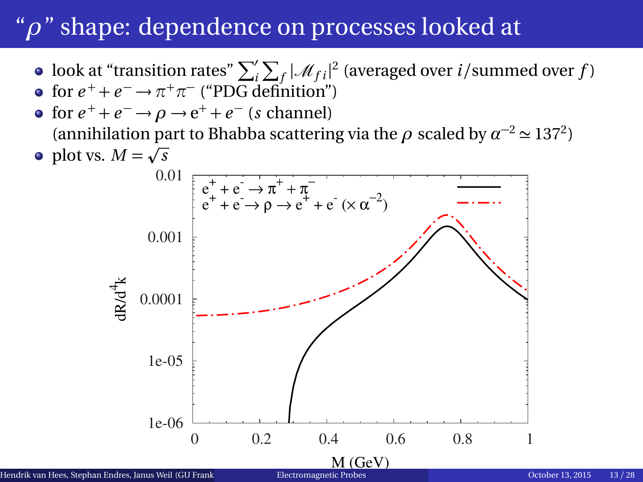## "*ρ*" shape: dependence on processes looked at

- look at "transition rates"  $\sum_{i}^{\prime}\sum_{f}|\mathcal{M}_{fi}|^2$  (averaged over *i*/summed over *f*)
- for  $e^+ + e^- \rightarrow \pi^+ \pi^-$  ("PDG definition")
- for  $e^+ + e^- \rightarrow \rho \rightarrow e^+ + e^-$  (*s* channel) (annihilation part to Bhabba scattering via the  $\rho$  scaled by  $\alpha^{-2} \simeq 137^2$ )
	- plot vs.  $M = \sqrt{s}$  1e-06 1e-05 0.0001 0.001 0.01 0 0.2 0.4 0.6 0.8 1  $dA^{\dagger}$ k  $e_{+}^{+} + e_{-} \rightarrow \pi^{+} + \pi^{-}$  $e^+ + e \rightarrow \rho \rightarrow e^+ + e \propto \alpha^{-2}$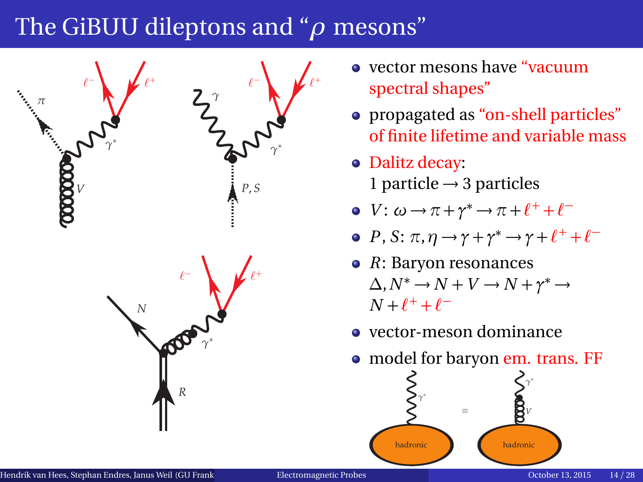## <span id="page-13-0"></span>The GiBUU dileptons and "*ρ* mesons"



- vector mesons have "vacuum spectral shapes"
- propagated as "on-shell particles" of finite lifetime and variable mass
- Dalitz decay: 1 particle  $\rightarrow$  3 particles
- *V*:  $\omega \rightarrow \pi + \gamma^* \rightarrow \pi + \ell^+ + \ell^-$
- *P*, *S*:  $\pi$ ,  $\eta \rightarrow \gamma + \gamma^* \rightarrow \gamma + \ell^+ + \ell^-$
- *R*: Baryon resonances  $\Delta$ ,  $N^* \to N + V \to N + \gamma^* \to$  $N + \ell^+ + \ell^-$
- vector-meson dominance
- model for baryon em. trans. FF

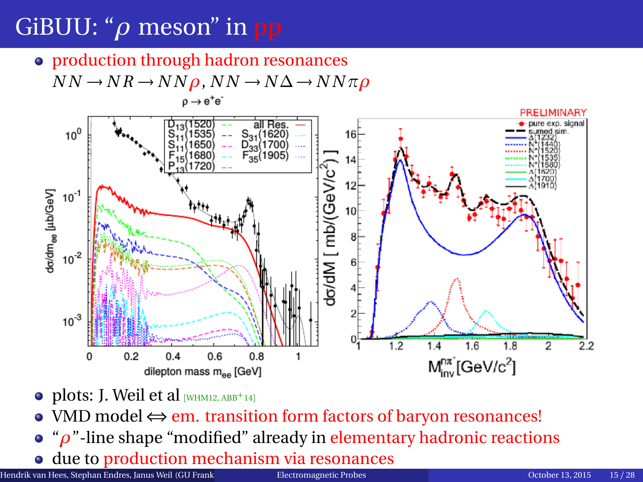# GiBUU: "*ρ* meson" in pp

• production through hadron resonances  $NN \rightarrow NR \rightarrow NN \rho$ ,  $NN \rightarrow N \Delta \rightarrow NN \pi \rho$ 



- $\bullet$  plots: J. Weil et al [[WHM12,](#page-32-1) [ABB](#page-29-3)<sup>+</sup>14]
- VMD model ⇔ em. transition form factors of baryon resonances!
- "*ρ*"-line shape "modified" already in elementary hadronic reactions
- due to production mechanism via resonances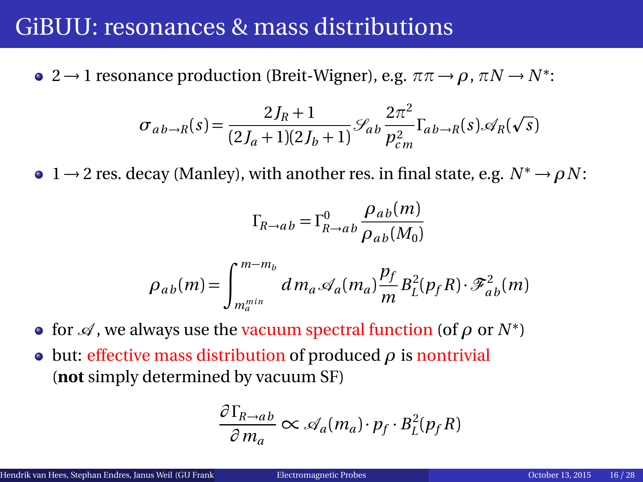### GiBUU: resonances & mass distributions

 $2 → 1$  resonance production (Breit-Wigner), e.g.  $\pi \pi → ρ$ ,  $\pi N → N^*$ :

$$
\sigma_{ab\to R}(s) = \frac{2J_R + 1}{(2J_a + 1)(2J_b + 1)} \mathcal{S}_{ab} \frac{2\pi^2}{p_{cm}^2} \Gamma_{ab\to R}(s) \mathcal{A}_R(\sqrt{s})
$$

 $\bullet$  1  $\rightarrow$  2 res. decay (Manley), with another res. in final state, e.g.  $N^* \rightarrow \rho N$ :

$$
\Gamma_{R\to ab} = \Gamma^0_{R\to ab} \frac{\rho_{ab}(m)}{\rho_{ab}(M_0)}
$$

$$
\rho_{ab}(m) = \int_{m_a^{min}}^{m-m_b} dm_a \mathcal{A}_a(m_a) \frac{p_f}{m} B_L^2(p_f R) \cdot \mathcal{F}_{ab}^2(m)
$$

- for  $\mathscr A$  , we always use the <mark>vacuum spectral function</mark> (of  $\rho$  or  $N^*$ )
- but: effective mass distribution of produced *ρ* is nontrivial (**not** simply determined by vacuum SF)

$$
\frac{\partial \Gamma_{R \to ab}}{\partial m_a} \propto \mathcal{A}_a(m_a) \cdot p_f \cdot B_L^2(p_f R)
$$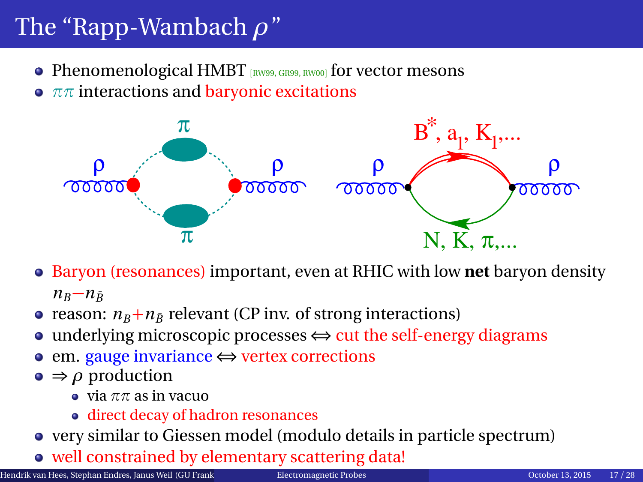# <span id="page-16-0"></span>The "Rapp-Wambach *ρ*"

- Phenomenological HMBT  $[RW99, GR99, RW00]$  $[RW99, GR99, RW00]$  $[RW99, GR99, RW00]$  $[RW99, GR99, RW00]$  $[RW99, GR99, RW00]$  for vector mesons
- **•**  $ππ$  interactions and baryonic excitations



- Baryon (resonances) important, even at RHIC with low **net** baryon density  $n_B - n_{\bar{B}}$
- reason:  $n_B + n_{\bar{B}}$  relevant (CP inv. of strong interactions)
- underlying microscopic processes  $\Leftrightarrow$  cut the self-energy diagrams
- em. gauge invariance ⇔ vertex corrections
- $\bullet \Rightarrow \rho$  production
	- $\bullet$  via  $\pi\pi$  as in vacuo
	- direct decay of hadron resonances
- very similar to Giessen model (modulo details in particle spectrum)
- well constrained by elementary scattering data!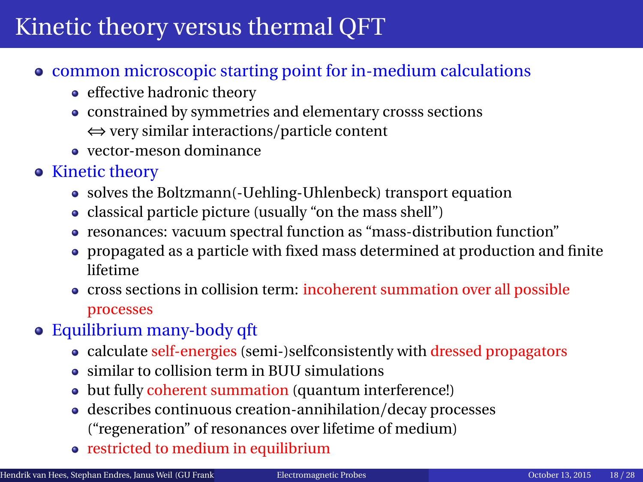## <span id="page-17-0"></span>Kinetic theory versus thermal QFT

- common microscopic starting point for in-medium calculations
	- effective hadronic theory
	- constrained by symmetries and elementary crosss sections ⇔ very similar interactions/particle content
	- vector-meson dominance
- Kinetic theory
	- solves the Boltzmann(-Uehling-Uhlenbeck) transport equation
	- classical particle picture (usually "on the mass shell")
	- resonances: vacuum spectral function as "mass-distribution function"
	- propagated as a particle with fixed mass determined at production and finite lifetime
	- cross sections in collision term: incoherent summation over all possible processes
- Equilibrium many-body qft
	- calculate self-energies (semi-)selfconsistently with dressed propagators
	- similar to collision term in BUU simulations
	- but fully coherent summation (quantum interference!)
	- describes continuous creation-annihilation/decay processes ("regeneration" of resonances over lifetime of medium)
	- restricted to medium in equilibrium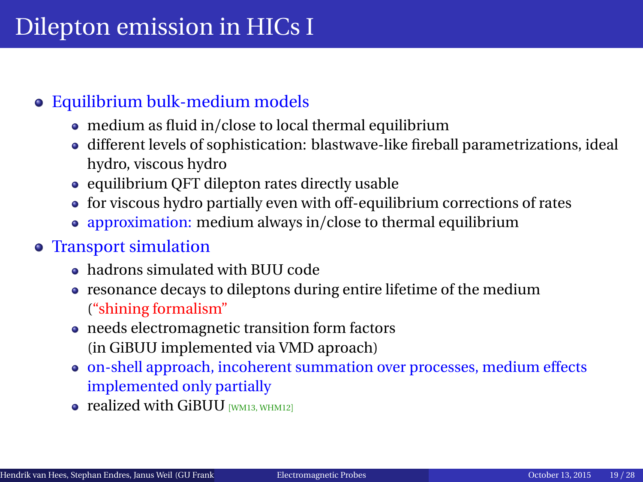#### Equilibrium bulk-medium models

- medium as fluid in/close to local thermal equilibrium
- different levels of sophistication: blastwave-like fireball parametrizations, ideal hydro, viscous hydro
- $\bullet$  equilibrium QFT dilepton rates directly usable
- for viscous hydro partially even with off-equilibrium corrections of rates
- approximation: medium always in/close to thermal equilibrium

#### Transport simulation

- hadrons simulated with BUU code
- resonance decays to dileptons during entire lifetime of the medium ("shining formalism"
- needs electromagnetic transition form factors (in GiBUU implemented via VMD aproach)
- on-shell approach, incoherent summation over processes, medium effects implemented only partially
- $\bullet$  realized with GiBUU  $\mu$ <sub>MM13</sub>, [WHM12](#page-32-1)1</sub>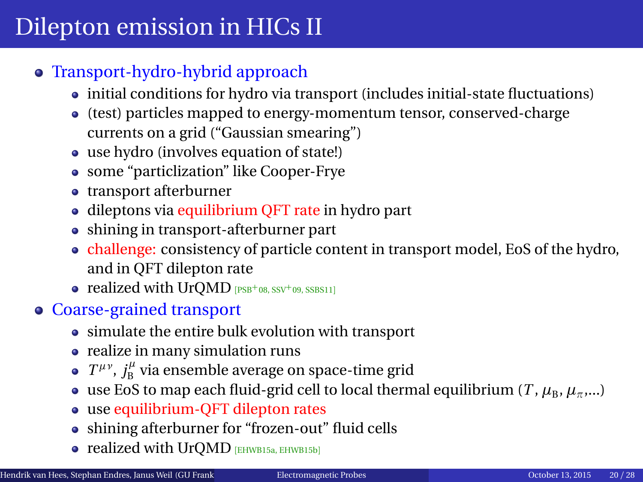# Dilepton emission in HICs II

#### Transport-hydro-hybrid approach

- initial conditions for hydro via transport (includes initial-state fluctuations)
- (test) particles mapped to energy-momentum tensor, conserved-charge currents on a grid ("Gaussian smearing")
- use hydro (involves equation of state!)
- some "particlization" like Cooper-Frye
- transport afterburner
- dileptons via equilibrium QFT rate in hydro part
- shining in transport-afterburner part
- challenge: consistency of particle content in transport model, EoS of the hydro, and in QFT dilepton rate
- $\bullet$  realized with UrQMD  $[PSB+0.8, SSV+0.9, SSBS11]$  $[PSB+0.8, SSV+0.9, SSBS11]$  $[PSB+0.8, SSV+0.9, SSBS11]$  $[PSB+0.8, SSV+0.9, SSBS11]$  $[PSB+0.8, SSV+0.9, SSBS11]$  $[PSB+0.8, SSV+0.9, SSBS11]$  $[PSB+0.8, SSV+0.9, SSBS11]$
- Coarse-grained transport
	- simulate the entire bulk evolution with transport
	- realize in many simulation runs
	- $T^{\mu\nu}$ ,  $j^\mu_\text{B}$  via ensemble average on space-time grid
	- use EoS to map each fluid-grid cell to local thermal equilibrium (*T*,  $\mu_B$ ,  $\mu_{\pi}$ ,...)
	- use equilibrium-QFT dilepton rates
	- shining afterburner for "frozen-out" fluid cells
	- realized with UrQMD [[EHWB15a,](#page-29-4) [EHWB15b](#page-30-3)]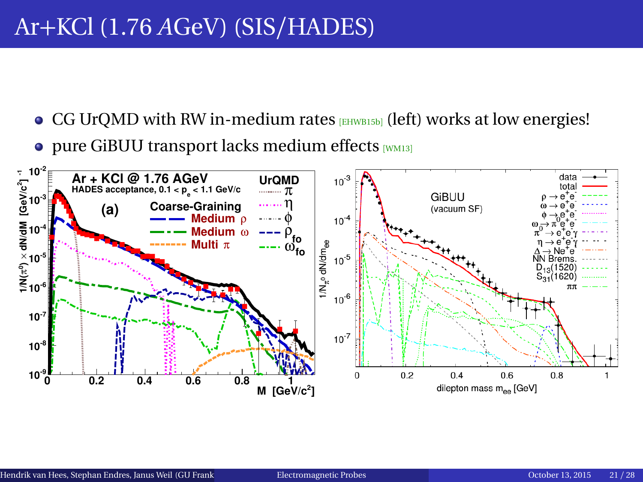## <span id="page-20-0"></span>Ar+KCl (1.76 *A*GeV) (SIS/HADES)

- $\bullet$  CG UrQMD with RW in-medium rates  $[EHWB15b]$  $[EHWB15b]$  $[EHWB15b]$  (left) works at low energies!
- $\bullet$  pure GiBUU transport lacks medium effects [[WM13](#page-32-2)]

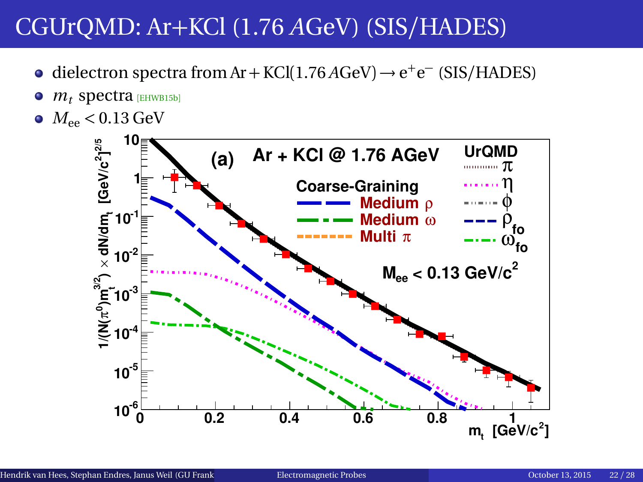- dielectron spectra from Ar + KCl(1.76  $A$ GeV)  $\rightarrow$  e<sup>+</sup>e<sup>-</sup> (SIS/HADES)
- $m_t$  spectra [[EHWB15b](#page-30-3)]  $\bullet$
- $M_{ee}$  < 0.13 GeV

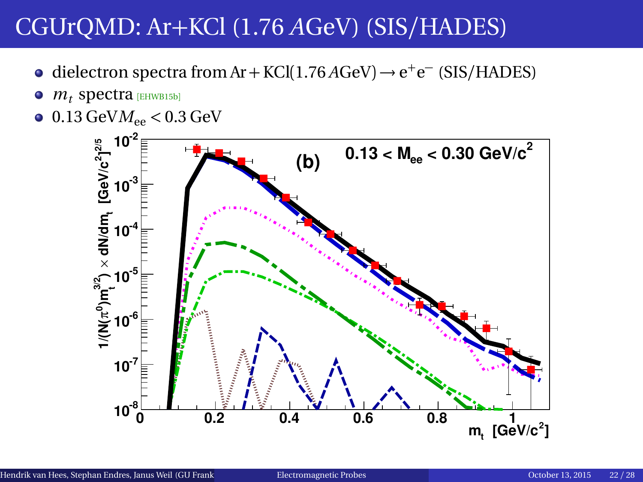- dielectron spectra from Ar + KCl(1.76 *A*GeV) → e<sup>+</sup>e<sup>-</sup> (SIS/HADES)
- $\bullet$  $m_t$  spectra [[EHWB15b](#page-30-3)]
- $\bullet$  0.13 GeV $M_{ee}$  < 0.3 GeV

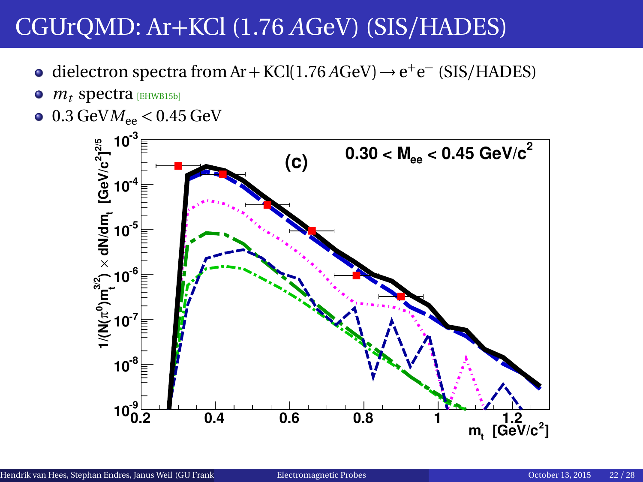- dielectron spectra from Ar + KCl(1.76  $A$ GeV)  $\rightarrow$  e<sup>+</sup>e<sup>-</sup> (SIS/HADES)
- $\bullet$  $m_t$  spectra [[EHWB15b](#page-30-3)]
- $0.3 \text{ GeV}$ *M*<sub>ee</sub>  $< 0.45 \text{ GeV}$

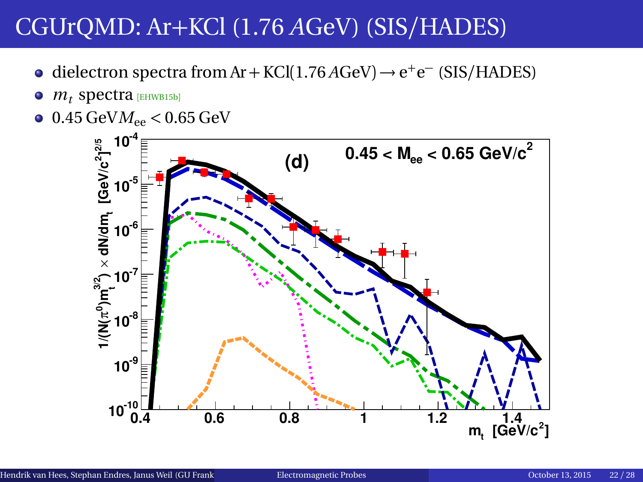- dielectron spectra from Ar + KCl(1.76  $A$ GeV)  $\rightarrow$  e<sup>+</sup>e<sup>-</sup> (SIS/HADES)
- $\bullet$  $m_t$  spectra [[EHWB15b](#page-30-3)]
- $0.45 \text{ GeV}$ *M*<sub>ee</sub>  $< 0.65 \text{ GeV}$

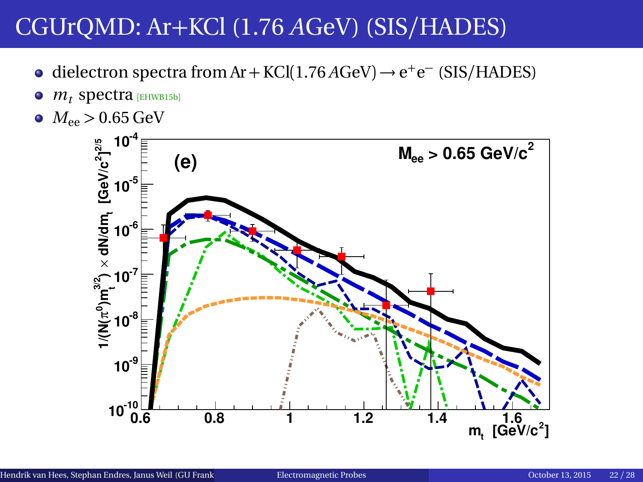- dielectron spectra from Ar + KCl(1.76  $A$ GeV)  $\rightarrow$  e<sup>+</sup>e<sup>-</sup> (SIS/HADES)
- $\bullet$  $m_t$  spectra [[EHWB15b](#page-30-3)]
- $M_{ee}$  > 0.65 GeV

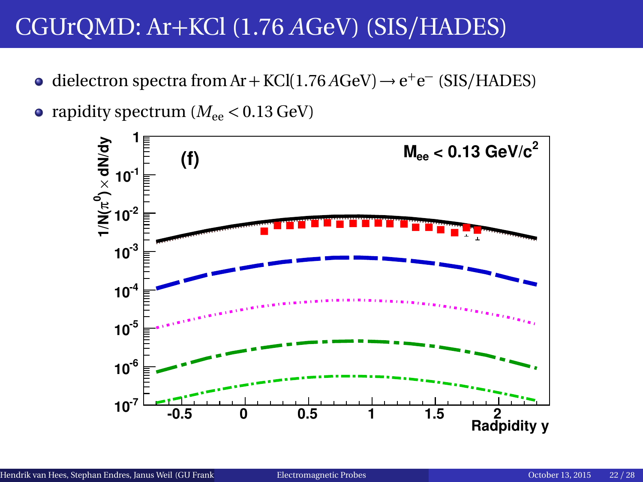dielectron spectra from Ar + KCl(1.76 *A*GeV) → e<sup>+</sup>e<sup>-</sup> (SIS/HADES)



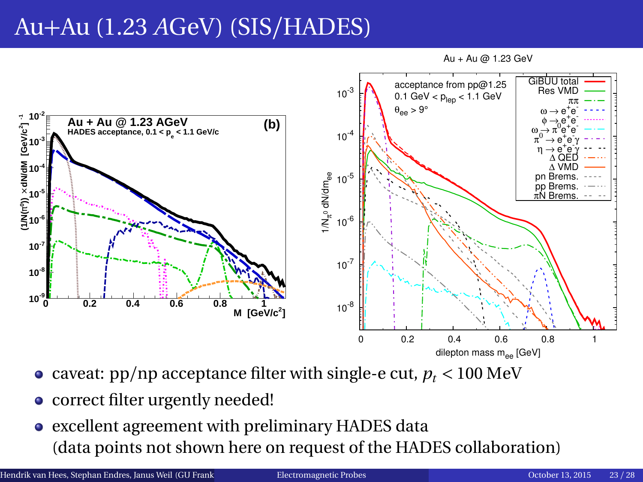## Au+Au (1.23 *A*GeV) (SIS/HADES)

Au + Au @ 1.23 GeV



- caveat:  $pp/np$  acceptance filter with single-e cut,  $p_t < 100 \text{ MeV}$
- correct filter urgently needed!
- excellent agreement with preliminary HADES data (data points not shown here on request of the HADES collaboration)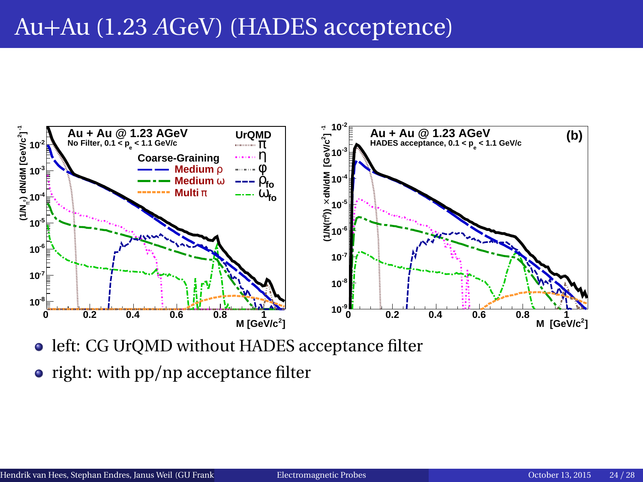### Au+Au (1.23 *A*GeV) (HADES acceptence)



- **.** left: CG UrQMD without HADES acceptance filter
- $\bullet$  right: with pp/np acceptance filter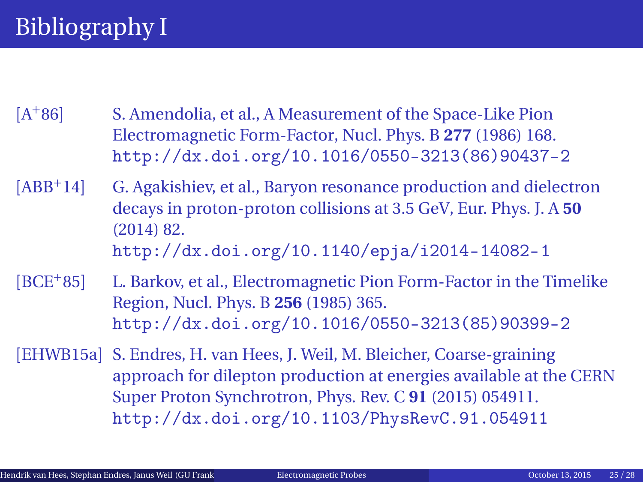<span id="page-29-1"></span><span id="page-29-0"></span> $[A+86]$ S. Amendolia, et al., A Measurement of the Space-Like Pion Electromagnetic Form-Factor, Nucl. Phys. B **277** (1986) 168. [http://dx.doi.org/10.1016/0550-3213\(86\)90437-2](http://dx.doi.org/10.1016/0550-3213(86)90437-2)

<span id="page-29-3"></span>[ABB<sup>+</sup>14] G. Agakishiev, et al., Baryon resonance production and dielectron decays in proton-proton collisions at 3.5 GeV, Eur. Phys. J. A **50** (2014) 82. <http://dx.doi.org/10.1140/epja/i2014-14082-1>

<span id="page-29-2"></span>[BCE<sup>+</sup>85] L. Barkov, et al., Electromagnetic Pion Form-Factor in the Timelike Region, Nucl. Phys. B **256** (1985) 365. [http://dx.doi.org/10.1016/0550-3213\(85\)90399-2](http://dx.doi.org/10.1016/0550-3213(85)90399-2)

<span id="page-29-4"></span>[EHWB15a] S. Endres, H. van Hees, J. Weil, M. Bleicher, Coarse-graining approach for dilepton production at energies available at the CERN Super Proton Synchrotron, Phys. Rev. C **91** (2015) 054911. <http://dx.doi.org/10.1103/PhysRevC.91.054911>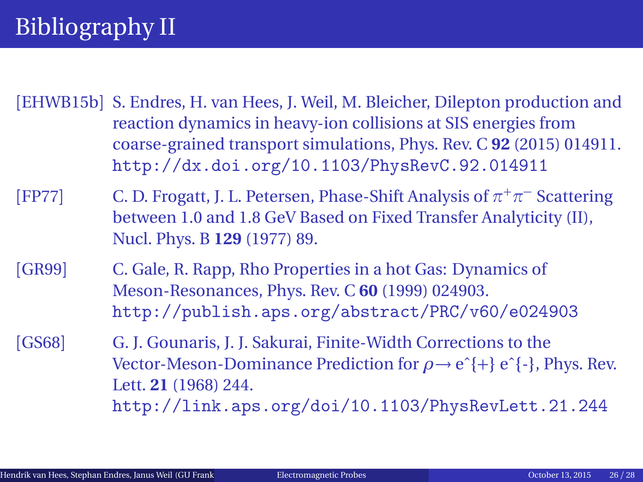# Bibliography II

<span id="page-30-3"></span>[EHWB15b] S. Endres, H. van Hees, J. Weil, M. Bleicher, Dilepton production and reaction dynamics in heavy-ion collisions at SIS energies from coarse-grained transport simulations, Phys. Rev. C **92** (2015) 014911. <http://dx.doi.org/10.1103/PhysRevC.92.014911>

<span id="page-30-1"></span>[FP77] C. D. Frogatt, J. L. Petersen, Phase-Shift Analysis of *π* <sup>+</sup>*π* <sup>−</sup> Scattering between 1.0 and 1.8 GeV Based on Fixed Transfer Analyticity (II), Nucl. Phys. B **129** (1977) 89.

<span id="page-30-2"></span>[GR99] C. Gale, R. Rapp, Rho Properties in a hot Gas: Dynamics of Meson-Resonances, Phys. Rev. C **60** (1999) 024903. <http://publish.aps.org/abstract/PRC/v60/e024903>

<span id="page-30-0"></span>[GS68] G. J. Gounaris, J. J. Sakurai, Finite-Width Corrections to the Vector-Meson-Dominance Prediction for *ρ*→ eˆ{+} eˆ{-}, Phys. Rev. Lett. **21** (1968) 244. <http://link.aps.org/doi/10.1103/PhysRevLett.21.244>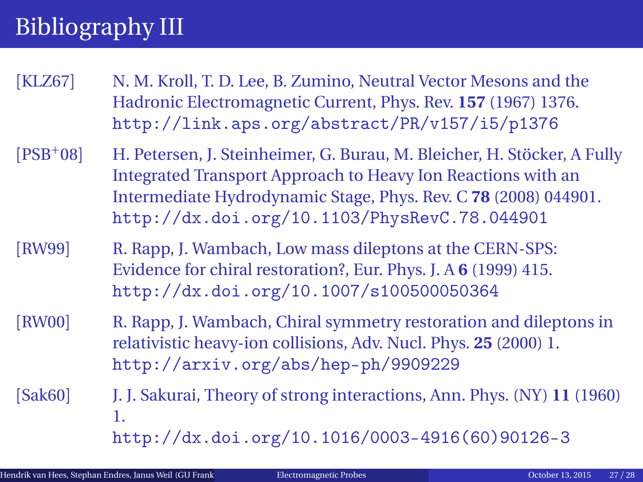# Bibliography III

- <span id="page-31-1"></span>[KLZ67] N. M. Kroll, T. D. Lee, B. Zumino, Neutral Vector Mesons and the Hadronic Electromagnetic Current, Phys. Rev. **157** (1967) 1376. <http://link.aps.org/abstract/PR/v157/i5/p1376>
- <span id="page-31-4"></span>[PSB<sup>+</sup>08] H. Petersen, J. Steinheimer, G. Burau, M. Bleicher, H. Stöcker, A Fully Integrated Transport Approach to Heavy Ion Reactions with an Intermediate Hydrodynamic Stage, Phys. Rev. C **78** (2008) 044901. <http://dx.doi.org/10.1103/PhysRevC.78.044901>
- <span id="page-31-2"></span>[RW99] R. Rapp, J. Wambach, Low mass dileptons at the CERN-SPS: Evidence for chiral restoration?, Eur. Phys. J. A **6** (1999) 415. <http://dx.doi.org/10.1007/s100500050364>
- <span id="page-31-3"></span>[RW00] R. Rapp, J. Wambach, Chiral symmetry restoration and dileptons in relativistic heavy-ion collisions, Adv. Nucl. Phys. **25** (2000) 1. <http://arxiv.org/abs/hep-ph/9909229>
- <span id="page-31-0"></span>[Sak60] J. J. Sakurai, Theory of strong interactions, Ann. Phys. (NY) **11** (1960) 1. [http://dx.doi.org/10.1016/0003-4916\(60\)90126-3](http://dx.doi.org/10.1016/0003-4916(60)90126-3)